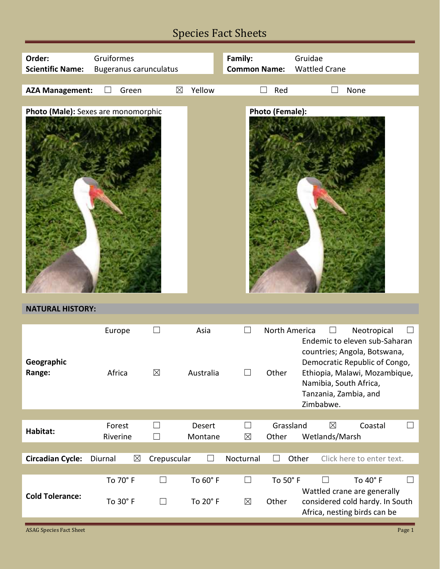# Species Fact Sheets

| Order:                              | Gruiformes         |                      |                                    |                      | Family:             |                        | Gruidae                                                                                                                                                                                                                  |
|-------------------------------------|--------------------|----------------------|------------------------------------|----------------------|---------------------|------------------------|--------------------------------------------------------------------------------------------------------------------------------------------------------------------------------------------------------------------------|
| <b>Scientific Name:</b>             |                    |                      | <b>Bugeranus carunculatus</b>      |                      | <b>Common Name:</b> |                        | <b>Wattled Crane</b>                                                                                                                                                                                                     |
| <b>AZA Management:</b>              |                    | Green                | $\boxtimes$                        | Yellow               |                     | Red<br>$\mathcal{L}$   | None                                                                                                                                                                                                                     |
|                                     |                    |                      |                                    |                      |                     |                        |                                                                                                                                                                                                                          |
| Photo (Male): Sexes are monomorphic |                    |                      |                                    |                      |                     | <b>Photo (Female):</b> |                                                                                                                                                                                                                          |
| <b>NATURAL HISTORY:</b>             |                    |                      |                                    |                      |                     |                        |                                                                                                                                                                                                                          |
| Geographic<br>Range:                | Europe<br>Africa   |                      | $\boxtimes$                        | Asia<br>Australia    | $\Box$<br>$\Box$    | North America<br>Other | Neotropical<br>$\sim$<br>Endemic to eleven sub-Saharan<br>countries; Angola, Botswana,<br>Democratic Republic of Congo,<br>Ethiopia, Malawi, Mozambique,<br>Namibia, South Africa,<br>Tanzania, Zambia, and<br>Zimbabwe. |
|                                     |                    |                      |                                    |                      |                     |                        |                                                                                                                                                                                                                          |
| Habitat:                            | Forest<br>Riverine |                      | $\Box$<br>$\overline{\phantom{0}}$ | Desert<br>Montane    | $\Box$<br>$\times$  | Grassland<br>Other     | $\boxtimes$<br>Coastal<br>ப<br>Wetlands/Marsh                                                                                                                                                                            |
|                                     |                    |                      |                                    |                      |                     |                        |                                                                                                                                                                                                                          |
| <b>Circadian Cycle:</b>             | Diurnal            | $\boxtimes$          | Crepuscular                        | $\mathcal{L}$        | Nocturnal           |                        | Click here to enter text.<br>Other                                                                                                                                                                                       |
| <b>Cold Tolerance:</b>              |                    | To 70° F<br>To 30° F | $\Box$<br>$\Box$                   | To 60° F<br>To 20° F | $\Box$<br>$\times$  | To 50° F<br>Other      | To 40° F<br>Wattled crane are generally<br>considered cold hardy. In South<br>Africa, nesting birds can be                                                                                                               |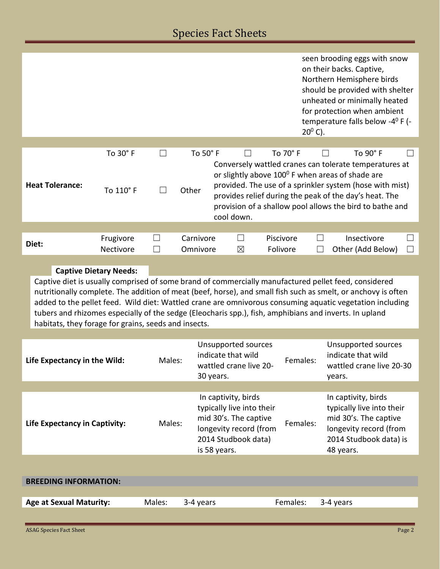### Species Fact Sheets

|                                                      |                               |               |                       |                                                                                                                                            |                       | seen brooding eggs with snow                                                                                                                                                                                                                                                                                                                                                                                                                |  |  |
|------------------------------------------------------|-------------------------------|---------------|-----------------------|--------------------------------------------------------------------------------------------------------------------------------------------|-----------------------|---------------------------------------------------------------------------------------------------------------------------------------------------------------------------------------------------------------------------------------------------------------------------------------------------------------------------------------------------------------------------------------------------------------------------------------------|--|--|
|                                                      |                               |               |                       |                                                                                                                                            | $20^0$ C).            | on their backs. Captive,<br>Northern Hemisphere birds<br>should be provided with shelter<br>unheated or minimally heated<br>for protection when ambient<br>temperature falls below -4 <sup>0</sup> F (-                                                                                                                                                                                                                                     |  |  |
|                                                      |                               |               |                       |                                                                                                                                            |                       |                                                                                                                                                                                                                                                                                                                                                                                                                                             |  |  |
| <b>Heat Tolerance:</b>                               | To 30° F<br>To 110° F         | $\perp$       | To 50° F<br>Other     |                                                                                                                                            | To 70° F              | To 90° F<br>Conversely wattled cranes can tolerate temperatures at<br>or slightly above 100 <sup>0</sup> F when areas of shade are<br>provided. The use of a sprinkler system (hose with mist)                                                                                                                                                                                                                                              |  |  |
|                                                      |                               |               |                       | provides relief during the peak of the day's heat. The<br>provision of a shallow pool allows the bird to bathe and<br>cool down.           |                       |                                                                                                                                                                                                                                                                                                                                                                                                                                             |  |  |
|                                                      |                               |               |                       |                                                                                                                                            |                       |                                                                                                                                                                                                                                                                                                                                                                                                                                             |  |  |
| Diet:                                                | Frugivore<br>Nectivore        | $\mathcal{L}$ | Carnivore<br>Omnivore | $\boxtimes$                                                                                                                                | Piscivore<br>Folivore | Insectivore<br>$\Box$<br>Other (Add Below)<br>$\vert \ \ \vert$                                                                                                                                                                                                                                                                                                                                                                             |  |  |
|                                                      | <b>Captive Dietary Needs:</b> |               |                       |                                                                                                                                            |                       |                                                                                                                                                                                                                                                                                                                                                                                                                                             |  |  |
| habitats, they forage for grains, seeds and insects. |                               |               |                       |                                                                                                                                            |                       | Captive diet is usually comprised of some brand of commercially manufactured pellet feed, considered<br>nutritionally complete. The addition of meat (beef, horse), and small fish such as smelt, or anchovy is often<br>added to the pellet feed. Wild diet: Wattled crane are omnivorous consuming aquatic vegetation including<br>tubers and rhizomes especially of the sedge (Eleocharis spp.), fish, amphibians and inverts. In upland |  |  |
|                                                      |                               |               |                       |                                                                                                                                            |                       |                                                                                                                                                                                                                                                                                                                                                                                                                                             |  |  |
| Life Expectancy in the Wild:                         |                               | Males:        |                       | Unsupported sources<br>indicate that wild<br>wattled crane live 20-<br>30 years.                                                           | Females:              | Unsupported sources<br>indicate that wild<br>wattled crane live 20-30<br>years.                                                                                                                                                                                                                                                                                                                                                             |  |  |
|                                                      |                               |               |                       |                                                                                                                                            |                       |                                                                                                                                                                                                                                                                                                                                                                                                                                             |  |  |
| Life Expectancy in Captivity:                        |                               | Males:        |                       | In captivity, birds<br>typically live into their<br>mid 30's. The captive<br>longevity record (from<br>2014 Studbook data)<br>is 58 years. | Females:              | In captivity, birds<br>typically live into their<br>mid 30's. The captive<br>longevity record (from<br>2014 Studbook data) is<br>48 years.                                                                                                                                                                                                                                                                                                  |  |  |
|                                                      |                               |               |                       |                                                                                                                                            |                       |                                                                                                                                                                                                                                                                                                                                                                                                                                             |  |  |
| <b>BREEDING INFORMATION:</b>                         |                               |               |                       |                                                                                                                                            |                       |                                                                                                                                                                                                                                                                                                                                                                                                                                             |  |  |
| <b>Age at Sexual Maturity:</b>                       |                               | Males:        | 3-4 years             |                                                                                                                                            | Females:              | 3-4 years                                                                                                                                                                                                                                                                                                                                                                                                                                   |  |  |
|                                                      |                               |               |                       |                                                                                                                                            |                       |                                                                                                                                                                                                                                                                                                                                                                                                                                             |  |  |
| <b>ASAG Species Fact Sheet</b>                       |                               |               |                       |                                                                                                                                            |                       | Page 2                                                                                                                                                                                                                                                                                                                                                                                                                                      |  |  |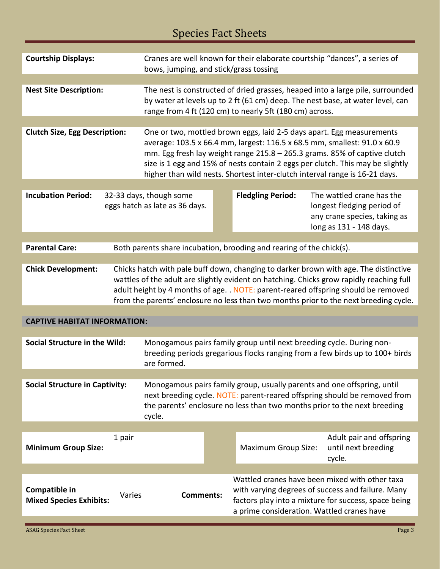## Species Fact Sheets

| <b>Courtship Displays:</b>                      |                                                                                                                                                                                                                                                                                                                                                                 | Cranes are well known for their elaborate courtship "dances", a series of<br>bows, jumping, and stick/grass tossing                                                                                                                                                                                                                                                                              |  |                                                                      |  |                                                                                                                                                             |  |
|-------------------------------------------------|-----------------------------------------------------------------------------------------------------------------------------------------------------------------------------------------------------------------------------------------------------------------------------------------------------------------------------------------------------------------|--------------------------------------------------------------------------------------------------------------------------------------------------------------------------------------------------------------------------------------------------------------------------------------------------------------------------------------------------------------------------------------------------|--|----------------------------------------------------------------------|--|-------------------------------------------------------------------------------------------------------------------------------------------------------------|--|
| <b>Nest Site Description:</b>                   |                                                                                                                                                                                                                                                                                                                                                                 | The nest is constructed of dried grasses, heaped into a large pile, surrounded<br>by water at levels up to 2 ft (61 cm) deep. The nest base, at water level, can<br>range from 4 ft (120 cm) to nearly 5ft (180 cm) across.                                                                                                                                                                      |  |                                                                      |  |                                                                                                                                                             |  |
|                                                 |                                                                                                                                                                                                                                                                                                                                                                 |                                                                                                                                                                                                                                                                                                                                                                                                  |  |                                                                      |  |                                                                                                                                                             |  |
| <b>Clutch Size, Egg Description:</b>            |                                                                                                                                                                                                                                                                                                                                                                 | One or two, mottled brown eggs, laid 2-5 days apart. Egg measurements<br>average: 103.5 x 66.4 mm, largest: 116.5 x 68.5 mm, smallest: 91.0 x 60.9<br>mm. Egg fresh lay weight range 215.8 - 265.3 grams. 85% of captive clutch<br>size is 1 egg and 15% of nests contain 2 eggs per clutch. This may be slightly<br>higher than wild nests. Shortest inter-clutch interval range is 16-21 days. |  |                                                                      |  |                                                                                                                                                             |  |
|                                                 |                                                                                                                                                                                                                                                                                                                                                                 |                                                                                                                                                                                                                                                                                                                                                                                                  |  |                                                                      |  |                                                                                                                                                             |  |
| <b>Incubation Period:</b>                       |                                                                                                                                                                                                                                                                                                                                                                 | 32-33 days, though some<br>eggs hatch as late as 36 days.                                                                                                                                                                                                                                                                                                                                        |  | <b>Fledgling Period:</b>                                             |  | The wattled crane has the<br>longest fledging period of<br>any crane species, taking as<br>long as 131 - 148 days.                                          |  |
|                                                 |                                                                                                                                                                                                                                                                                                                                                                 |                                                                                                                                                                                                                                                                                                                                                                                                  |  |                                                                      |  |                                                                                                                                                             |  |
| <b>Parental Care:</b>                           |                                                                                                                                                                                                                                                                                                                                                                 |                                                                                                                                                                                                                                                                                                                                                                                                  |  | Both parents share incubation, brooding and rearing of the chick(s). |  |                                                                                                                                                             |  |
|                                                 |                                                                                                                                                                                                                                                                                                                                                                 |                                                                                                                                                                                                                                                                                                                                                                                                  |  |                                                                      |  |                                                                                                                                                             |  |
| <b>Chick Development:</b>                       | Chicks hatch with pale buff down, changing to darker brown with age. The distinctive<br>wattles of the adult are slightly evident on hatching. Chicks grow rapidly reaching full<br>adult height by 4 months of age. . NOTE: parent-reared offspring should be removed<br>from the parents' enclosure no less than two months prior to the next breeding cycle. |                                                                                                                                                                                                                                                                                                                                                                                                  |  |                                                                      |  |                                                                                                                                                             |  |
| <b>CAPTIVE HABITAT INFORMATION:</b>             |                                                                                                                                                                                                                                                                                                                                                                 |                                                                                                                                                                                                                                                                                                                                                                                                  |  |                                                                      |  |                                                                                                                                                             |  |
|                                                 |                                                                                                                                                                                                                                                                                                                                                                 |                                                                                                                                                                                                                                                                                                                                                                                                  |  |                                                                      |  |                                                                                                                                                             |  |
| Social Structure in the Wild:                   |                                                                                                                                                                                                                                                                                                                                                                 | Monogamous pairs family group until next breeding cycle. During non-<br>breeding periods gregarious flocks ranging from a few birds up to 100+ birds<br>are formed.                                                                                                                                                                                                                              |  |                                                                      |  |                                                                                                                                                             |  |
|                                                 |                                                                                                                                                                                                                                                                                                                                                                 |                                                                                                                                                                                                                                                                                                                                                                                                  |  |                                                                      |  |                                                                                                                                                             |  |
| <b>Social Structure in Captivity:</b>           | Monogamous pairs family group, usually parents and one offspring, until<br>next breeding cycle. NOTE: parent-reared offspring should be removed from<br>the parents' enclosure no less than two months prior to the next breeding<br>cycle.                                                                                                                     |                                                                                                                                                                                                                                                                                                                                                                                                  |  |                                                                      |  |                                                                                                                                                             |  |
|                                                 |                                                                                                                                                                                                                                                                                                                                                                 |                                                                                                                                                                                                                                                                                                                                                                                                  |  |                                                                      |  |                                                                                                                                                             |  |
| <b>Minimum Group Size:</b>                      | 1 pair                                                                                                                                                                                                                                                                                                                                                          |                                                                                                                                                                                                                                                                                                                                                                                                  |  | <b>Maximum Group Size:</b>                                           |  | Adult pair and offspring<br>until next breeding<br>cycle.                                                                                                   |  |
|                                                 |                                                                                                                                                                                                                                                                                                                                                                 |                                                                                                                                                                                                                                                                                                                                                                                                  |  |                                                                      |  |                                                                                                                                                             |  |
| Compatible in<br><b>Mixed Species Exhibits:</b> | Varies                                                                                                                                                                                                                                                                                                                                                          | <b>Comments:</b>                                                                                                                                                                                                                                                                                                                                                                                 |  | a prime consideration. Wattled cranes have                           |  | Wattled cranes have been mixed with other taxa<br>with varying degrees of success and failure. Many<br>factors play into a mixture for success, space being |  |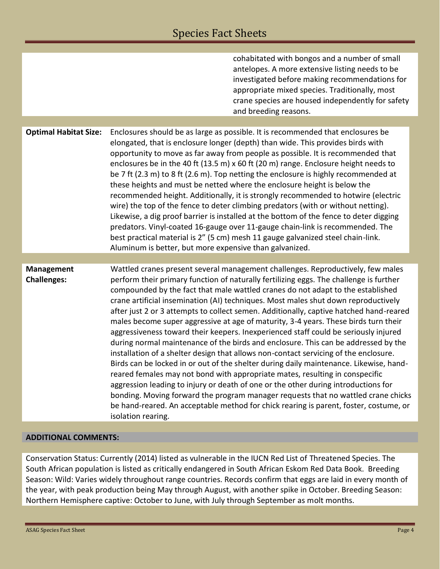|                                  | cohabitated with bongos and a number of small<br>antelopes. A more extensive listing needs to be<br>investigated before making recommendations for<br>appropriate mixed species. Traditionally, most<br>crane species are housed independently for safety<br>and breeding reasons.                                                                                                                                                                                                                                                                                                                                                                                                                                                                                                                                                                                                                                                                                                                                                                                                                                                                                                                                                                                           |
|----------------------------------|------------------------------------------------------------------------------------------------------------------------------------------------------------------------------------------------------------------------------------------------------------------------------------------------------------------------------------------------------------------------------------------------------------------------------------------------------------------------------------------------------------------------------------------------------------------------------------------------------------------------------------------------------------------------------------------------------------------------------------------------------------------------------------------------------------------------------------------------------------------------------------------------------------------------------------------------------------------------------------------------------------------------------------------------------------------------------------------------------------------------------------------------------------------------------------------------------------------------------------------------------------------------------|
|                                  |                                                                                                                                                                                                                                                                                                                                                                                                                                                                                                                                                                                                                                                                                                                                                                                                                                                                                                                                                                                                                                                                                                                                                                                                                                                                              |
| <b>Optimal Habitat Size:</b>     | Enclosures should be as large as possible. It is recommended that enclosures be<br>elongated, that is enclosure longer (depth) than wide. This provides birds with<br>opportunity to move as far away from people as possible. It is recommended that<br>enclosures be in the 40 ft (13.5 m) x 60 ft (20 m) range. Enclosure height needs to<br>be 7 ft (2.3 m) to 8 ft (2.6 m). Top netting the enclosure is highly recommended at<br>these heights and must be netted where the enclosure height is below the<br>recommended height. Additionally, it is strongly recommended to hotwire (electric<br>wire) the top of the fence to deter climbing predators (with or without netting).<br>Likewise, a dig proof barrier is installed at the bottom of the fence to deter digging<br>predators. Vinyl-coated 16-gauge over 11-gauge chain-link is recommended. The<br>best practical material is 2" (5 cm) mesh 11 gauge galvanized steel chain-link.<br>Aluminum is better, but more expensive than galvanized.                                                                                                                                                                                                                                                           |
|                                  |                                                                                                                                                                                                                                                                                                                                                                                                                                                                                                                                                                                                                                                                                                                                                                                                                                                                                                                                                                                                                                                                                                                                                                                                                                                                              |
| Management<br><b>Challenges:</b> | Wattled cranes present several management challenges. Reproductively, few males<br>perform their primary function of naturally fertilizing eggs. The challenge is further<br>compounded by the fact that male wattled cranes do not adapt to the established<br>crane artificial insemination (AI) techniques. Most males shut down reproductively<br>after just 2 or 3 attempts to collect semen. Additionally, captive hatched hand-reared<br>males become super aggressive at age of maturity, 3-4 years. These birds turn their<br>aggressiveness toward their keepers. Inexperienced staff could be seriously injured<br>during normal maintenance of the birds and enclosure. This can be addressed by the<br>installation of a shelter design that allows non-contact servicing of the enclosure.<br>Birds can be locked in or out of the shelter during daily maintenance. Likewise, hand-<br>reared females may not bond with appropriate mates, resulting in conspecific<br>aggression leading to injury or death of one or the other during introductions for<br>bonding. Moving forward the program manager requests that no wattled crane chicks<br>be hand-reared. An acceptable method for chick rearing is parent, foster, costume, or<br>isolation rearing. |

#### **ADDITIONAL COMMENTS:**

Conservation Status: Currently (2014) listed as vulnerable in the IUCN Red List of Threatened Species. The South African population is listed as critically endangered in South African Eskom Red Data Book. Breeding Season: Wild: Varies widely throughout range countries. Records confirm that eggs are laid in every month of the year, with peak production being May through August, with another spike in October. Breeding Season: Northern Hemisphere captive: October to June, with July through September as molt months.